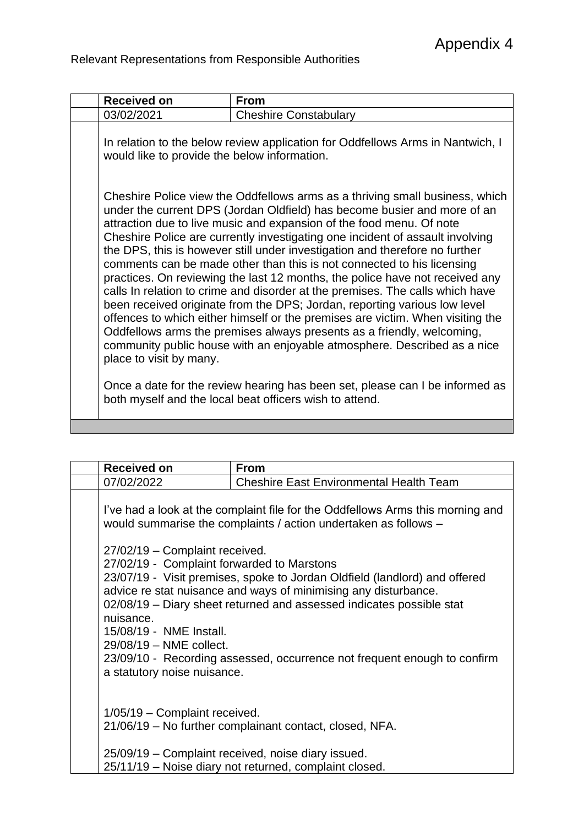|  | <b>Received on</b>                                                                                                                                                                                                                                                                                                                                                                                                                                                                                                                                                                                                                                                                                                                                                                                                                                                                                                                                                                                                                                                                                                                     | <b>From</b>                  |  |
|--|----------------------------------------------------------------------------------------------------------------------------------------------------------------------------------------------------------------------------------------------------------------------------------------------------------------------------------------------------------------------------------------------------------------------------------------------------------------------------------------------------------------------------------------------------------------------------------------------------------------------------------------------------------------------------------------------------------------------------------------------------------------------------------------------------------------------------------------------------------------------------------------------------------------------------------------------------------------------------------------------------------------------------------------------------------------------------------------------------------------------------------------|------------------------------|--|
|  | 03/02/2021                                                                                                                                                                                                                                                                                                                                                                                                                                                                                                                                                                                                                                                                                                                                                                                                                                                                                                                                                                                                                                                                                                                             | <b>Cheshire Constabulary</b> |  |
|  | In relation to the below review application for Oddfellows Arms in Nantwich, I<br>would like to provide the below information.                                                                                                                                                                                                                                                                                                                                                                                                                                                                                                                                                                                                                                                                                                                                                                                                                                                                                                                                                                                                         |                              |  |
|  | Cheshire Police view the Oddfellows arms as a thriving small business, which<br>under the current DPS (Jordan Oldfield) has become busier and more of an<br>attraction due to live music and expansion of the food menu. Of note<br>Cheshire Police are currently investigating one incident of assault involving<br>the DPS, this is however still under investigation and therefore no further<br>comments can be made other than this is not connected to his licensing<br>practices. On reviewing the last 12 months, the police have not received any<br>calls In relation to crime and disorder at the premises. The calls which have<br>been received originate from the DPS; Jordan, reporting various low level<br>offences to which either himself or the premises are victim. When visiting the<br>Oddfellows arms the premises always presents as a friendly, welcoming,<br>community public house with an enjoyable atmosphere. Described as a nice<br>place to visit by many.<br>Once a date for the review hearing has been set, please can I be informed as<br>both myself and the local beat officers wish to attend. |                              |  |
|  |                                                                                                                                                                                                                                                                                                                                                                                                                                                                                                                                                                                                                                                                                                                                                                                                                                                                                                                                                                                                                                                                                                                                        |                              |  |

| <b>Received on</b>                                              | <b>From</b>                                                                                                                                                                                                                                                                                                                                                                                                                                                                                                                            |  |
|-----------------------------------------------------------------|----------------------------------------------------------------------------------------------------------------------------------------------------------------------------------------------------------------------------------------------------------------------------------------------------------------------------------------------------------------------------------------------------------------------------------------------------------------------------------------------------------------------------------------|--|
| 07/02/2022                                                      | <b>Cheshire East Environmental Health Team</b>                                                                                                                                                                                                                                                                                                                                                                                                                                                                                         |  |
| nuisance.<br>15/08/19 - NME Install.<br>29/08/19 - NME collect. | I've had a look at the complaint file for the Oddfellows Arms this morning and<br>would summarise the complaints / action undertaken as follows -<br>27/02/19 - Complaint received.<br>27/02/19 - Complaint forwarded to Marstons<br>23/07/19 - Visit premises, spoke to Jordan Oldfield (landlord) and offered<br>advice re stat nuisance and ways of minimising any disturbance.<br>02/08/19 – Diary sheet returned and assessed indicates possible stat<br>23/09/10 - Recording assessed, occurrence not frequent enough to confirm |  |
| a statutory noise nuisance.<br>1/05/19 - Complaint received.    | 21/06/19 - No further complainant contact, closed, NFA.<br>25/09/19 – Complaint received, noise diary issued.<br>25/11/19 - Noise diary not returned, complaint closed.                                                                                                                                                                                                                                                                                                                                                                |  |